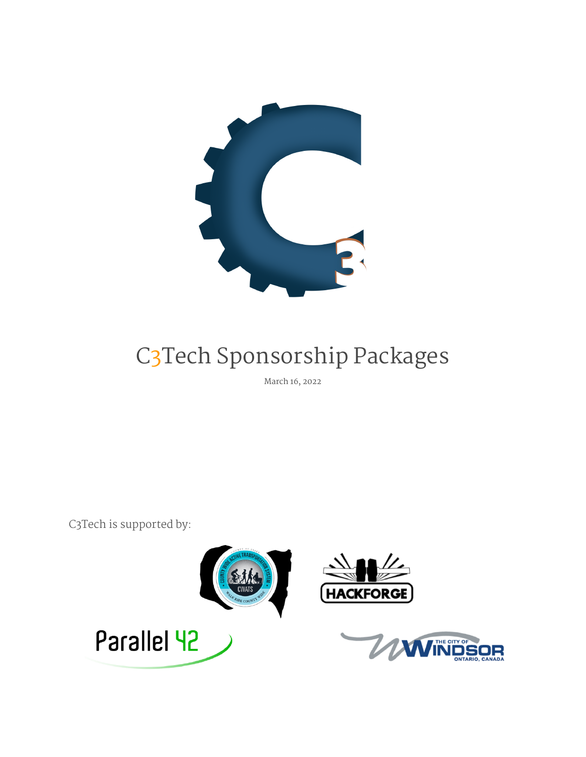

# C3Tech Sponsorship Packages

March 16, 2022

C3Tech is supported by:

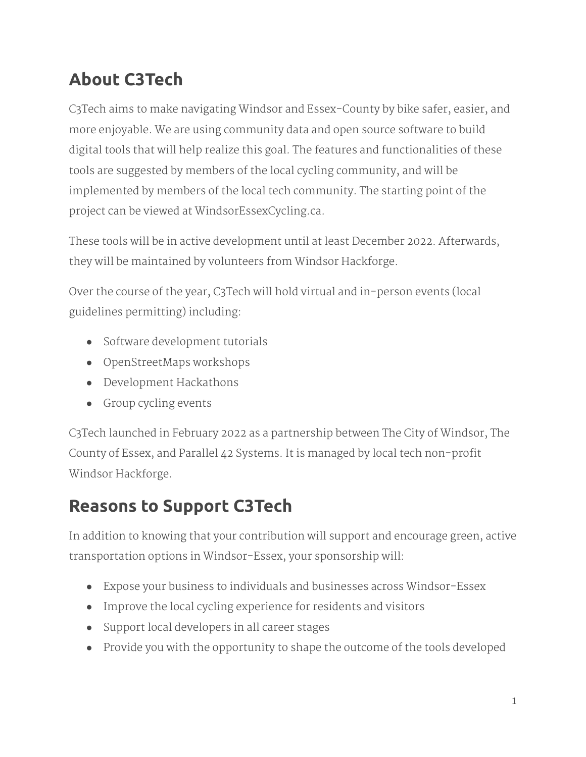# **About C3Tech**

C3Tech aims to make navigating Windsor and Essex-County by bike safer, easier, and more enjoyable. We are using community data and open source software to build digital tools that will help realize this goal. The features and functionalities of these tools are suggested by members of the local cycling community, and will be implemented by members of the local tech community. The starting point of the project can be viewed at WindsorEssexCycling.ca.

These tools will be in active development until at least December 2022. Afterwards, they will be maintained by volunteers from Windsor Hackforge.

Over the course of the year, C3Tech will hold virtual and in-person events (local guidelines permitting) including:

- Software development tutorials
- OpenStreetMaps workshops
- Development Hackathons
- Group cycling events

C3Tech launched in February 2022 as a partnership between The City of Windsor, The County of Essex, and Parallel 42 Systems. It is managed by local tech non-profit Windsor Hackforge.

# **Reasons to Support C3Tech**

In addition to knowing that your contribution will support and encourage green, active transportation options in Windsor-Essex, your sponsorship will:

- Expose your business to individuals and businesses across Windsor-Essex
- Improve the local cycling experience for residents and visitors
- Support local developers in all career stages
- Provide you with the opportunity to shape the outcome of the tools developed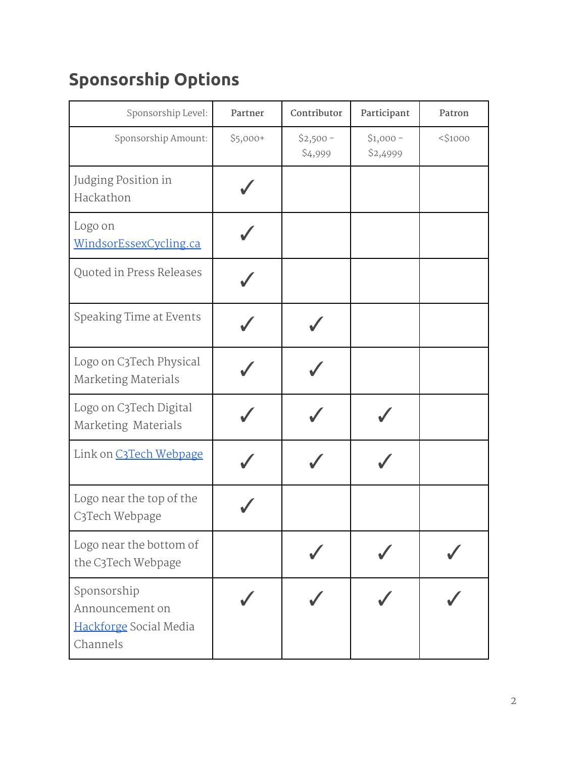# **Sponsorship Options**

| Sponsorship Level:                                                   | Partner   | Contributor           | Participant           | Patron     |
|----------------------------------------------------------------------|-----------|-----------------------|-----------------------|------------|
| Sponsorship Amount:                                                  | $$5,000+$ | $$2,500 -$<br>\$4,999 | $$1,000-$<br>\$2,4999 | $<$ \$1000 |
| Judging Position in<br>Hackathon                                     |           |                       |                       |            |
| Logo on<br>WindsorEssexCycling.ca                                    |           |                       |                       |            |
| Quoted in Press Releases                                             |           |                       |                       |            |
| Speaking Time at Events                                              |           |                       |                       |            |
| Logo on C3Tech Physical<br><b>Marketing Materials</b>                |           |                       |                       |            |
| Logo on C3Tech Digital<br>Marketing Materials                        |           |                       |                       |            |
| Link on C3Tech Webpage                                               |           |                       |                       |            |
| Logo near the top of the<br>C3Tech Webpage                           |           |                       |                       |            |
| Logo near the bottom of<br>the C3Tech Webpage                        |           |                       |                       |            |
| Sponsorship<br>Announcement on<br>Hackforge Social Media<br>Channels |           |                       |                       |            |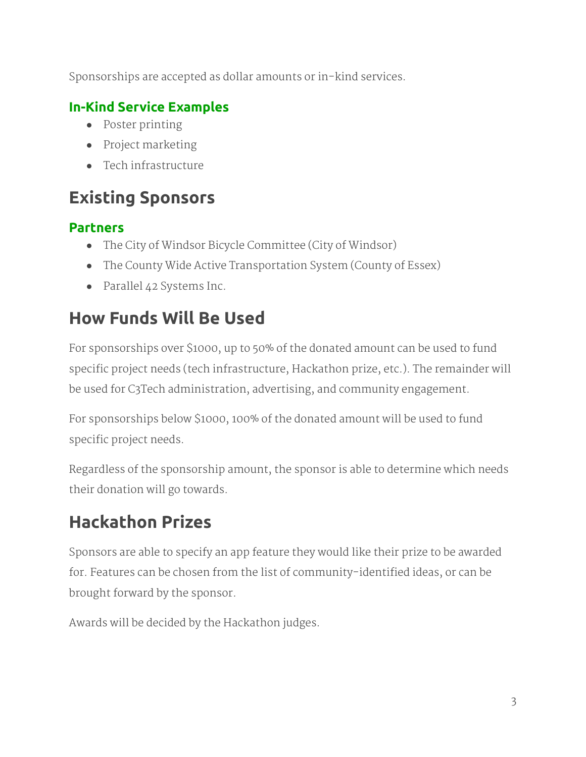Sponsorships are accepted as dollar amounts or in-kind services.

#### **In-Kind Service Examples**

- Poster printing
- Project marketing
- Tech infrastructure

# **Existing Sponsors**

#### **Partners**

- The City of Windsor Bicycle Committee (City of Windsor)
- The County Wide Active Transportation System (County of Essex)
- Parallel 42 Systems Inc.

### **How Funds Will Be Used**

For sponsorships over \$1000, up to 50% of the donated amount can be used to fund specific project needs (tech infrastructure, Hackathon prize, etc.). The remainder will be used for C3Tech administration, advertising, and community engagement.

For sponsorships below \$1000, 100% of the donated amount will be used to fund specific project needs.

Regardless of the sponsorship amount, the sponsor is able to determine which needs their donation will go towards.

# **Hackathon Prizes**

Sponsors are able to specify an app feature they would like their prize to be awarded for. Features can be chosen from the list of community-identified ideas, or can be brought forward by the sponsor.

Awards will be decided by the Hackathon judges.